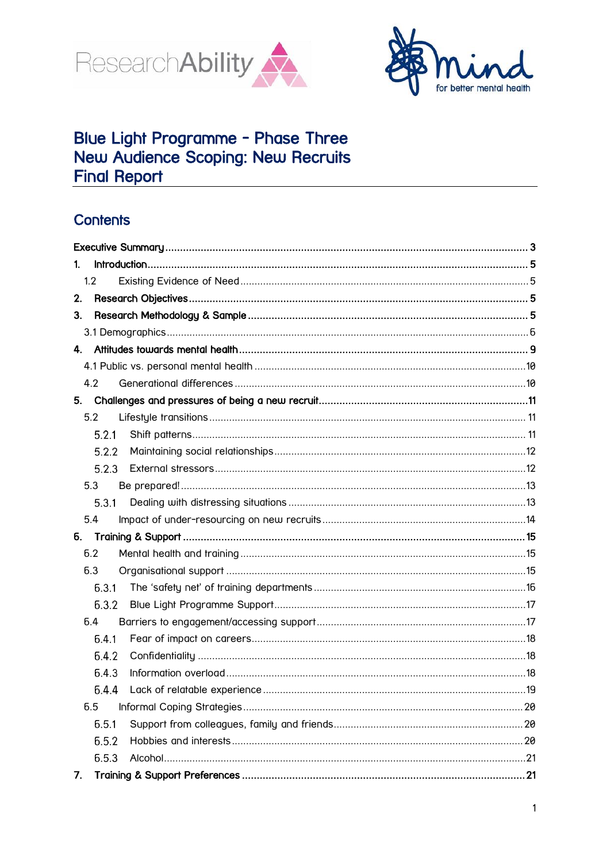



# Blue Light Programme - Phase Three<br>New Audience Scoping: New Recruits **Final Report**

# **Contents**

| 1.    |  |  |  |
|-------|--|--|--|
| 1.2   |  |  |  |
| 2.    |  |  |  |
| 3.    |  |  |  |
|       |  |  |  |
| 4.    |  |  |  |
|       |  |  |  |
| 4.2   |  |  |  |
| 5.    |  |  |  |
| 5.2   |  |  |  |
| 5.2.1 |  |  |  |
| 5.2.2 |  |  |  |
| 5.2.3 |  |  |  |
| 5.3   |  |  |  |
| 5.3.1 |  |  |  |
| 5.4   |  |  |  |
| б.    |  |  |  |
| 6.2   |  |  |  |
| 6.3   |  |  |  |
| 6.3.1 |  |  |  |
| 6.3.2 |  |  |  |
| 6.4   |  |  |  |
| 6.4.1 |  |  |  |
| 6.4.2 |  |  |  |
| 6.4.3 |  |  |  |
| 6.4.4 |  |  |  |
| 6.5   |  |  |  |
| 6.5.1 |  |  |  |
| 6.5.2 |  |  |  |
| 6.5.3 |  |  |  |
| 7.    |  |  |  |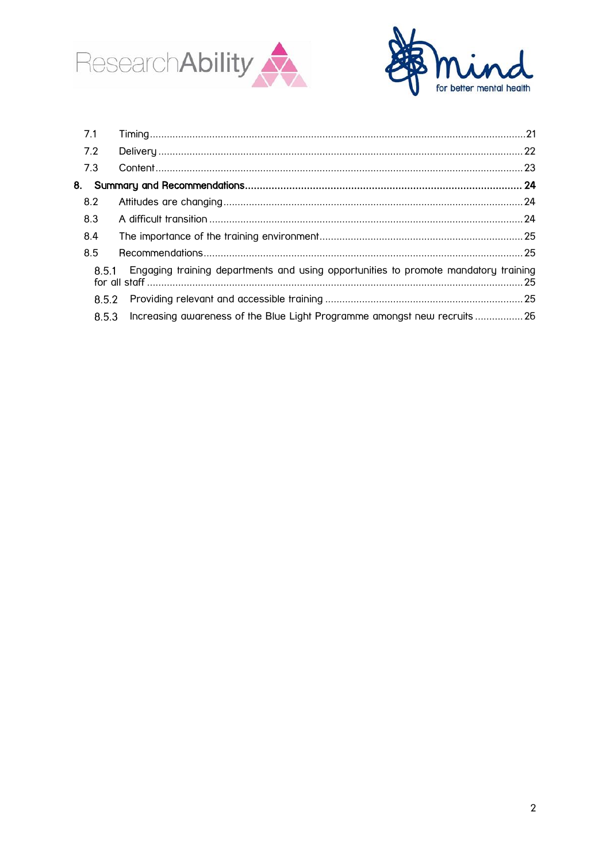



<span id="page-1-0"></span>

| 7.1 |       |                                                                                     |  |
|-----|-------|-------------------------------------------------------------------------------------|--|
| 7.2 |       |                                                                                     |  |
| 7.3 |       |                                                                                     |  |
| 8.  |       |                                                                                     |  |
| 8.2 |       |                                                                                     |  |
| 8.3 |       |                                                                                     |  |
| 8.4 |       |                                                                                     |  |
| 8.5 |       |                                                                                     |  |
|     | 8.5.1 | Engaging training departments and using opportunities to promote mandatory training |  |
|     | 8.5.2 |                                                                                     |  |
|     | 8.5.3 | Increasing awareness of the Blue Light Programme amongst new recruits26             |  |
|     |       |                                                                                     |  |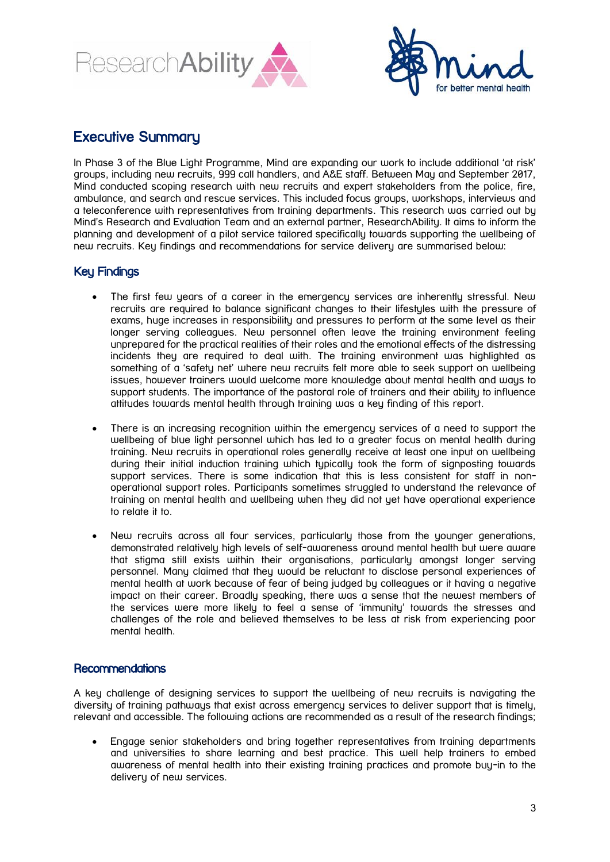



# Executive Summary

In Phase 3 of the Blue Light Programme, Mind are expanding our work to include additional 'at risk' groups, including new recruits, 999 call handlers, and A&E staff. Between May and September 2017, Mind conducted scoping research with new recruits and expert stakeholders from the police, fire, ambulance, and search and rescue services. This included focus groups, workshops, interviews and a teleconference with representatives from training departments. This research was carried out by Mind's Research and Evaluation Team and an external partner, ResearchAbility. It aims to inform the planning and development of a pilot service tailored specifically towards supporting the wellbeing of new recruits. Key findings and recommendations for service delivery are summarised below:

# Key Findings

- The first few years of a career in the emergency services are inherently stressful. New recruits are required to balance significant changes to their lifestyles with the pressure of exams, huge increases in responsibility and pressures to perform at the same level as their longer serving colleagues. New personnel often leave the training environment feeling unprepared for the practical realities of their roles and the emotional effects of the distressing incidents they are required to deal with. The training environment was highlighted as something of a 'safety net' where new recruits felt more able to seek support on wellbeing issues, however trainers would welcome more knowledge about mental health and ways to support students. The importance of the pastoral role of trainers and their ability to influence attitudes towards mental health through training was a key finding of this report.
- There is an increasing recognition within the emergency services of a need to support the wellbeing of blue light personnel which has led to a greater focus on mental health during training. New recruits in operational roles generally receive at least one input on wellbeing during their initial induction training which typically took the form of signposting towards support services. There is some indication that this is less consistent for staff in nonoperational support roles. Participants sometimes struggled to understand the relevance of training on mental health and wellbeing when they did not yet have operational experience to relate it to.
- New recruits across all four services, particularly those from the younger generations, demonstrated relatively high levels of self-awareness around mental health but were aware that stigma still exists within their organisations, particularly amongst longer serving personnel. Many claimed that they would be reluctant to disclose personal experiences of mental health at work because of fear of being judged by colleagues or it having a negative impact on their career. Broadly speaking, there was a sense that the newest members of the services were more likely to feel a sense of 'immunity' towards the stresses and challenges of the role and believed themselves to be less at risk from experiencing poor mental health.

# **Recommendations**

A key challenge of designing services to support the wellbeing of new recruits is navigating the diversity of training pathways that exist across emergency services to deliver support that is timely, relevant and accessible. The following actions are recommended as a result of the research findings;

 Engage senior stakeholders and bring together representatives from training departments and universities to share learning and best practice. This well help trainers to embed awareness of mental health into their existing training practices and promote buy-in to the delivery of new services.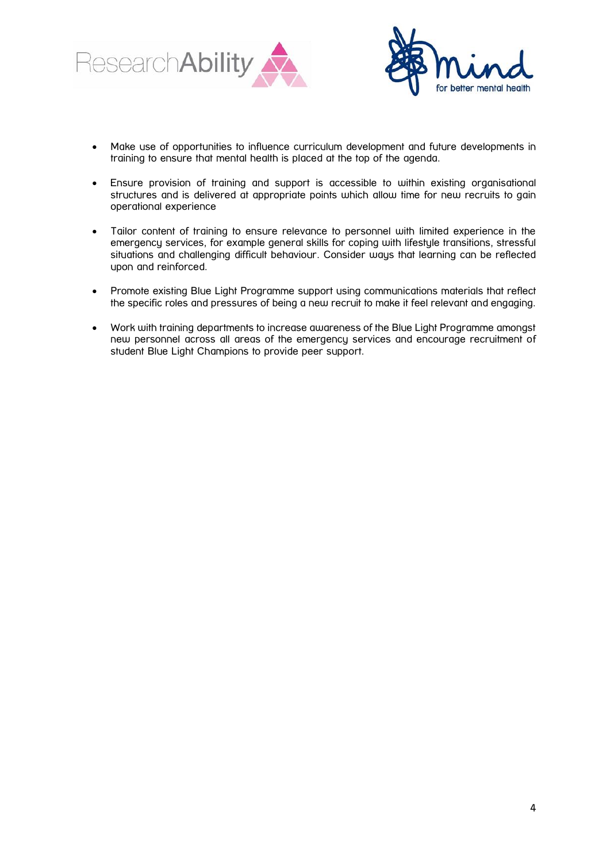



- Make use of opportunities to influence curriculum development and future developments in training to ensure that mental health is placed at the top of the agenda.
- Ensure provision of training and support is accessible to within existing organisational structures and is delivered at appropriate points which allow time for new recruits to gain operational experience
- Tailor content of training to ensure relevance to personnel with limited experience in the emergency services, for example general skills for coping with lifestyle transitions, stressful situations and challenging difficult behaviour. Consider ways that learning can be reflected upon and reinforced.
- Promote existing Blue Light Programme support using communications materials that reflect the specific roles and pressures of being a new recruit to make it feel relevant and engaging.
- Work with training departments to increase awareness of the Blue Light Programme amongst new personnel across all areas of the emergency services and encourage recruitment of student Blue Light Champions to provide peer support.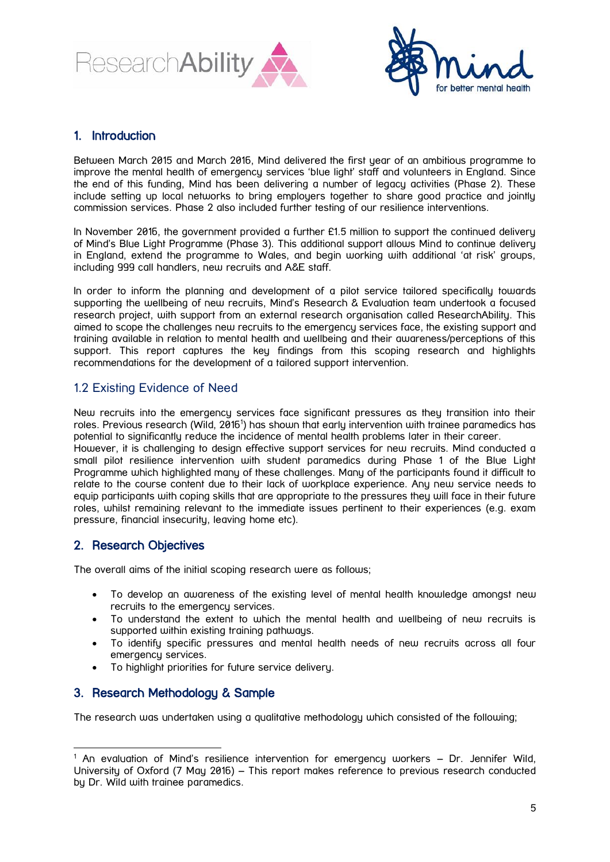



# <span id="page-4-0"></span>1. Introduction

Between March 2015 and March 2016, Mind delivered the first year of an ambitious programme to improve the mental health of emergency services 'blue light' staff and volunteers in England. Since the end of this funding, Mind has been delivering a number of legacy activities (Phase 2). These include setting up local networks to bring employers together to share good practice and jointly commission services. Phase 2 also included further testing of our resilience interventions.

In November 2016, the government provided a further £1.5 million to support the continued delivery of Mind's Blue Light Programme (Phase 3). This additional support allows Mind to continue delivery in England, extend the programme to Wales, and begin working with additional 'at risk' groups, including 999 call handlers, new recruits and A&E staff.

In order to inform the planning and development of a pilot service tailored specifically towards supporting the wellbeing of new recruits, Mind's Research & Evaluation team undertook a focused research project, with support from an external research organisation called ResearchAbility. This aimed to scope the challenges new recruits to the emergency services face, the existing support and training available in relation to mental health and wellbeing and their awareness/perceptions of this support. This report captures the key findings from this scoping research and highlights recommendations for the development of a tailored support intervention.

# <span id="page-4-1"></span>1.2 Existing Evidence of Need

New recruits into the emergency services face significant pressures as they transition into their roles. Previous research (Wild, 2016<sup>1</sup>) has shown that early intervention with trainee paramedics has potential to significantly reduce the incidence of mental health problems later in their career.

However, it is challenging to design effective support services for new recruits. Mind conducted a small pilot resilience intervention with student paramedics during Phase 1 of the Blue Light Programme which highlighted many of these challenges. Many of the participants found it difficult to relate to the course content due to their lack of workplace experience. Any new service needs to equip participants with coping skills that are appropriate to the pressures they will face in their future roles, whilst remaining relevant to the immediate issues pertinent to their experiences (e.g. exam pressure, financial insecurity, leaving home etc).

# <span id="page-4-2"></span>2. Research Objectives

-

The overall aims of the initial scoping research were as follows;

- To develop an awareness of the existing level of mental health knowledge amongst new recruits to the emergency services.
- To understand the extent to which the mental health and wellbeing of new recruits is supported within existing training pathways.
- To identify specific pressures and mental health needs of new recruits across all four emergency services.
- To highlight priorities for future service delivery.

# <span id="page-4-3"></span>3. Research Methodology & Sample

The research was undertaken using a qualitative methodology which consisted of the following;

 $1$  An evaluation of Mind's resilience intervention for emergency workers  $-$  Dr. Jennifer Wild, University of Oxford (7 May 2016) – This report makes reference to previous research conducted by Dr. Wild with trainee paramedics.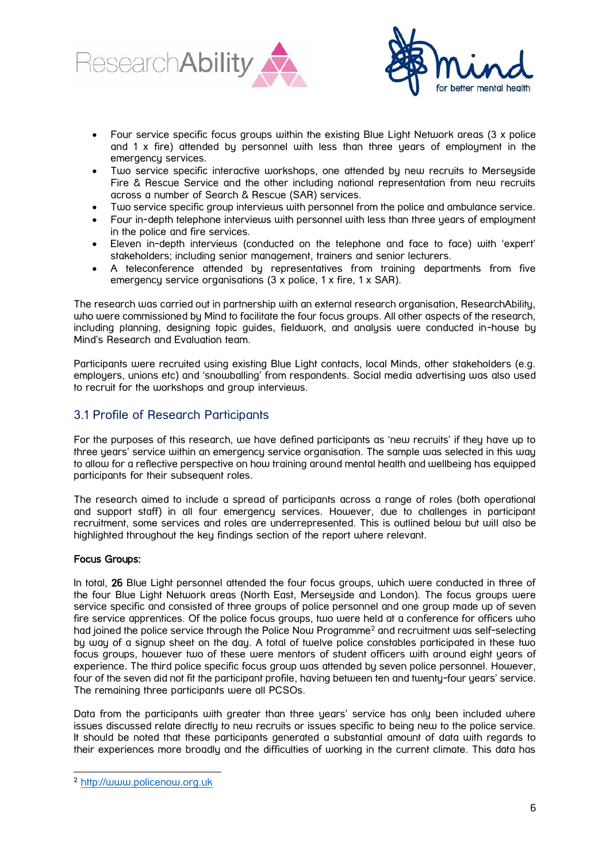



- Four service specific focus groups within the existing Blue Light Network areas (3 x police and 1 x fire) attended by personnel with less than three years of employment in the emergency services.
- Two service specific interactive workshops, one attended by new recruits to Merseyside Fire & Rescue Service and the other including national representation from new recruits across a number of Search & Rescue (SAR) services.
- Two service specific group interviews with personnel from the police and ambulance service.
- Four in-depth telephone interviews with personnel with less than three years of employment in the police and fire services.
- Eleven in-depth interviews (conducted on the telephone and face to face) with 'expert' stakeholders; including senior management, trainers and senior lecturers.
- A teleconference attended by representatives from training departments from five emergency service organisations (3 x police, 1 x fire, 1 x SAR).

The research was carried out in partnership with an external research organisation, ResearchAbility, who were commissioned by Mind to facilitate the four focus groups. All other aspects of the research, including planning, designing topic guides, fieldwork, and analysis were conducted in-house by Mind's Research and Evaluation team.

Participants were recruited using existing Blue Light contacts, local Minds, other stakeholders (e.g. employers, unions etc) and 'snowballing' from respondents. Social media advertising was also used to recruit for the workshops and group interviews.

# <span id="page-5-0"></span>3.1 Profile of Research Participants

For the purposes of this research, we have defined participants as 'new recruits' if they have up to three years' service within an emergency service organisation. The sample was selected in this way to allow for a reflective perspective on how training around mental health and wellbeing has equipped participants for their subsequent roles.

The research aimed to include a spread of participants across a range of roles (both operational and support staff) in all four emergency services. However, due to challenges in participant recruitment, some services and roles are underrepresented. This is outlined below but will also be highlighted throughout the key findings section of the report where relevant.

### Focus Groups:

In total, 26 Blue Light personnel attended the four focus groups, which were conducted in three of the four Blue Light Network areas (North East, Merseyside and London). The focus groups were service specific and consisted of three groups of police personnel and one group made up of seven fire service apprentices. Of the police focus groups, two were held at a conference for officers who had joined the police service through the Police Now Programme<sup>2</sup> and recruitment was self-selecting by way of a signup sheet on the day. A total of twelve police constables participated in these two focus groups, however two of these were mentors of student officers with around eight years of experience. The third police specific focus group was attended by seven police personnel. However, four of the seven did not fit the participant profile, having between ten and twenty-four years' service. The remaining three participants were all PCSOs.

Data from the participants with greater than three years' service has only been included where issues discussed relate directly to new recruits or issues specific to being new to the police service. It should be noted that these participants generated a substantial amount of data with regards to their experiences more broadly and the difficulties of working in the current climate. This data has

-

<sup>2</sup> [http://www.policenow.org.uk](http://www.policenow.org.uk/)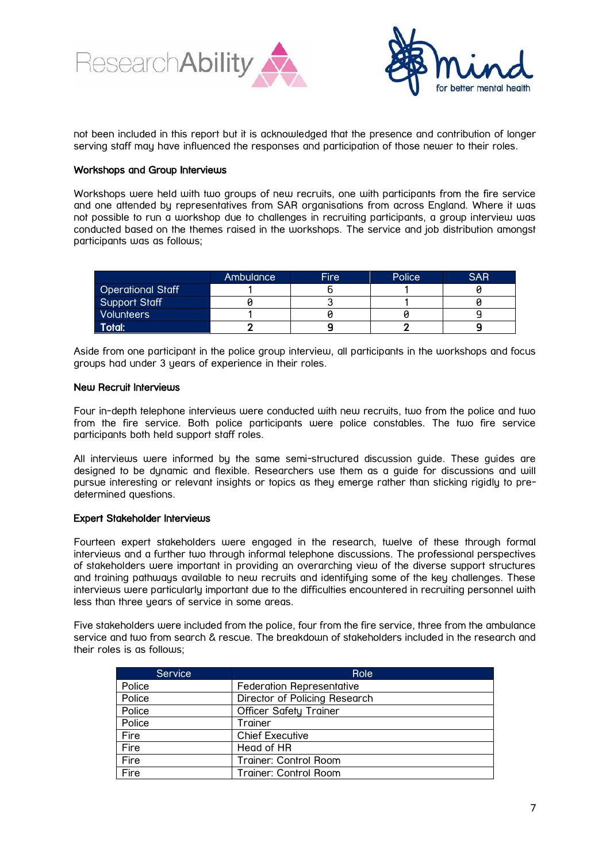



not been included in this report but it is acknowledged that the presence and contribution of longer serving staff may have influenced the responses and participation of those newer to their roles.

### Workshops and Group Interviews

Workshops were held with two groups of new recruits, one with participants from the fire service and one attended by representatives from SAR organisations from across England. Where it was not possible to run a workshop due to challenges in recruiting participants, a group interview was conducted based on the themes raised in the workshops. The service and job distribution amongst participants was as follows;

|                          | Ambulance | Fire | Police | <b>SAR</b> |
|--------------------------|-----------|------|--------|------------|
| <b>Operational Staff</b> |           |      |        |            |
| Support Staff            |           |      |        |            |
| <b>Volunteers</b>        |           |      |        |            |
| Total:                   |           |      |        |            |

Aside from one participant in the police group interview, all participants in the workshops and focus groups had under 3 years of experience in their roles.

### New Recruit Interviews

Four in-depth telephone interviews were conducted with new recruits, two from the police and two from the fire service. Both police participants were police constables. The two fire service participants both held support staff roles.

All interviews were informed by the same semi-structured discussion guide. These guides are designed to be dynamic and flexible. Researchers use them as a guide for discussions and will pursue interesting or relevant insights or topics as they emerge rather than sticking rigidly to predetermined questions.

### Expert Stakeholder Interviews

Fourteen expert stakeholders were engaged in the research, twelve of these through formal interviews and a further two through informal telephone discussions. The professional perspectives of stakeholders were important in providing an overarching view of the diverse support structures and training pathways available to new recruits and identifying some of the key challenges. These interviews were particularly important due to the difficulties encountered in recruiting personnel with less than three years of service in some areas.

Five stakeholders were included from the police, four from the fire service, three from the ambulance service and two from search & rescue. The breakdown of stakeholders included in the research and their roles is as follows;

| <b>Service</b> | Role                          |
|----------------|-------------------------------|
| Police         | Federation Representative     |
| Police         | Director of Policing Research |
| Police         | <b>Officer Safety Trainer</b> |
| Police         | Trainer                       |
| Fire           | <b>Chief Executive</b>        |
| Fire           | Head of HR                    |
| Fire           | Trainer: Control Room         |
| Fire           | Trainer: Control Room         |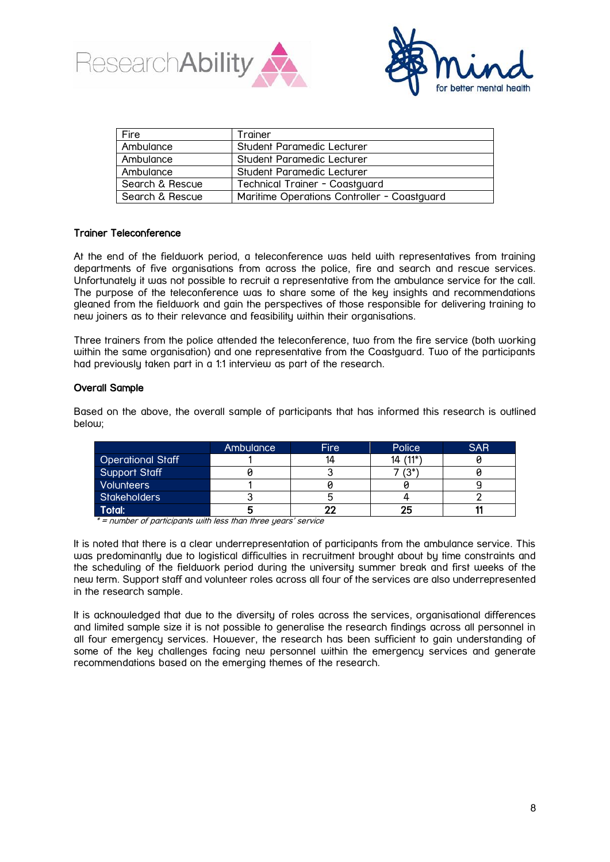



| Fire            | Trainer                                     |  |  |
|-----------------|---------------------------------------------|--|--|
| Ambulance       | Student Paramedic Lecturer                  |  |  |
| Ambulance       | Student Paramedic Lecturer                  |  |  |
| Ambulance       | Student Paramedic Lecturer                  |  |  |
| Search & Rescue | Technical Trainer - Coastguard              |  |  |
| Search & Rescue | Maritime Operations Controller - Coastguard |  |  |

### Trainer Teleconference

At the end of the fieldwork period, a teleconference was held with representatives from training departments of five organisations from across the police, fire and search and rescue services. Unfortunately it was not possible to recruit a representative from the ambulance service for the call. The purpose of the teleconference was to share some of the key insights and recommendations gleaned from the fieldwork and gain the perspectives of those responsible for delivering training to new joiners as to their relevance and feasibility within their organisations.

Three trainers from the police attended the teleconference, two from the fire service (both working within the same organisation) and one representative from the Coastguard. Two of the participants had previously taken part in a 1:1 interview as part of the research.

### Overall Sample

Based on the above, the overall sample of participants that has informed this research is outlined below:

|                          | Ambulance | Fire | Police   | <b>SAR</b> |
|--------------------------|-----------|------|----------|------------|
| <b>Operational Staff</b> |           |      | 14 (11*) |            |
| Support Staff            |           |      | $(3^*$   |            |
| Volunteers               |           |      |          |            |
| <b>Stakeholders</b>      |           |      |          |            |
| Total:                   |           | 22   | 25       |            |

\* = number of participants with less than three years' service

It is noted that there is a clear underrepresentation of participants from the ambulance service. This was predominantly due to logistical difficulties in recruitment brought about by time constraints and the scheduling of the fieldwork period during the university summer break and first weeks of the new term. Support staff and volunteer roles across all four of the services are also underrepresented in the research sample.

It is acknowledged that due to the diversity of roles across the services, organisational differences and limited sample size it is not possible to generalise the research findings across all personnel in all four emergency services. However, the research has been sufficient to gain understanding of some of the key challenges facing new personnel within the emergency services and generate recommendations based on the emerging themes of the research.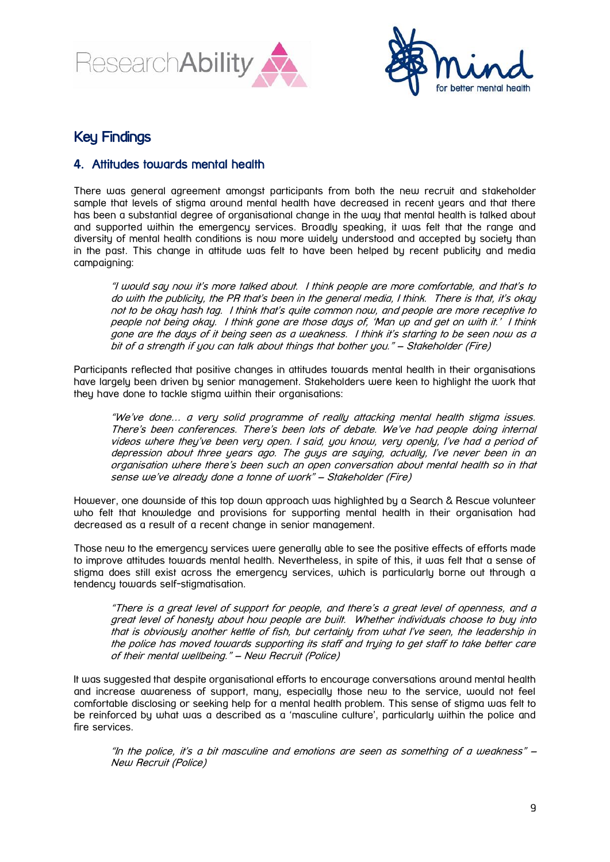



# Key Findings

# <span id="page-8-0"></span>4. Attitudes towards mental health

There was general agreement amongst participants from both the new recruit and stakeholder sample that levels of stigma around mental health have decreased in recent years and that there has been a substantial degree of organisational change in the way that mental health is talked about and supported within the emergency services. Broadly speaking, it was felt that the range and diversity of mental health conditions is now more widely understood and accepted by society than in the past. This change in attitude was felt to have been helped by recent publicity and media campaigning:

"I would say now it's more talked about. I think people are more comfortable, and that's to do with the publicity, the PR that's been in the general media, I think. There is that, it's okay not to be okay hash tag. I think that's quite common now, and people are more receptive to people not being okay. I think gone are those days of, 'Man up and get on with it.' I think gone are the days of it being seen as a weakness. I think it's starting to be seen now as a bit of a strength if you can talk about things that bother you." – Stakeholder (Fire)

Participants reflected that positive changes in attitudes towards mental health in their organisations have largely been driven by senior management. Stakeholders were keen to highlight the work that they have done to tackle stigma within their organisations:

"We've done… a very solid programme of really attacking mental health stigma issues. There's been conferences. There's been lots of debate. We've had people doing internal videos where they've been very open. I said, you know, very openly, I've had a period of depression about three years ago. The guys are saying, actually, I've never been in an organisation where there's been such an open conversation about mental health so in that sense we've already done a tonne of work" – Stakeholder (Fire)

However, one downside of this top down approach was highlighted by a Search & Rescue volunteer who felt that knowledge and provisions for supporting mental health in their organisation had decreased as a result of a recent change in senior management.

Those new to the emergency services were generally able to see the positive effects of efforts made to improve attitudes towards mental health. Nevertheless, in spite of this, it was felt that a sense of stigma does still exist across the emergency services, which is particularly borne out through a tendency towards self-stigmatisation.

"There is a great level of support for people, and there's a great level of openness, and a great level of honesty about how people are built. Whether individuals choose to buy into that is obviously another kettle of fish, but certainly from what I've seen, the leadership in the police has moved towards supporting its staff and trying to get staff to take better care of their mental wellbeing." – New Recruit (Police)

It was suggested that despite organisational efforts to encourage conversations around mental health and increase awareness of support, many, especially those new to the service, would not feel comfortable disclosing or seeking help for a mental health problem. This sense of stigma was felt to be reinforced by what was a described as a 'masculine culture', particularly within the police and fire services.

"In the police, it's a bit masculine and emotions are seen as something of a weakness" – New Recruit (Police)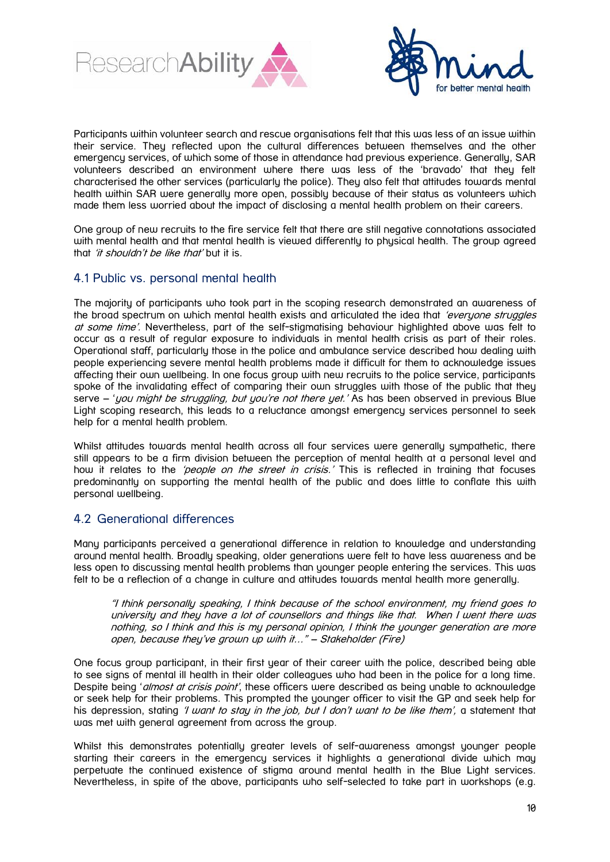



Participants within volunteer search and rescue organisations felt that this was less of an issue within their service. They reflected upon the cultural differences between themselves and the other emergency services, of which some of those in attendance had previous experience. Generally, SAR volunteers described an environment where there was less of the 'bravado' that they felt characterised the other services (particularly the police). They also felt that attitudes towards mental health within SAR were generally more open, possibly because of their status as volunteers which made them less worried about the impact of disclosing a mental health problem on their careers.

One group of new recruits to the fire service felt that there are still negative connotations associated with mental health and that mental health is viewed differently to physical health. The group agreed that 'it shouldn't be like that' but it is.

# <span id="page-9-0"></span>4.1 Public vs. personal mental health

The majority of participants who took part in the scoping research demonstrated an awareness of the broad spectrum on which mental health exists and articulated the idea that 'everyone struggles at some time'. Nevertheless, part of the self-stigmatising behaviour highlighted above was felt to occur as a result of regular exposure to individuals in mental health crisis as part of their roles. Operational staff, particularly those in the police and ambulance service described how dealing with people experiencing severe mental health problems made it difficult for them to acknowledge issues affecting their own wellbeing. In one focus group with new recruits to the police service, participants spoke of the invalidating effect of comparing their own struggles with those of the public that they serve – 'you might be struggling, but you're not there yet.' As has been observed in previous Blue Light scoping research, this leads to a reluctance amongst emergency services personnel to seek help for a mental health problem.

Whilst attitudes towards mental health across all four services were generally sympathetic, there still appears to be a firm division between the perception of mental health at a personal level and how it relates to the *'people on the street in crisis*.' This is reflected in training that focuses predominantly on supporting the mental health of the public and does little to conflate this with personal wellbeing.

# <span id="page-9-1"></span>4.2 Generational differences

Many participants perceived a generational difference in relation to knowledge and understanding around mental health. Broadly speaking, older generations were felt to have less awareness and be less open to discussing mental health problems than younger people entering the services. This was felt to be a reflection of a change in culture and attitudes towards mental health more generally.

"I think personally speaking, I think because of the school environment, my friend goes to university and they have a lot of counsellors and things like that. When I went there was nothing, so I think and this is my personal opinion, I think the younger generation are more open, because they've grown up with it…" – Stakeholder (Fire)

One focus group participant, in their first year of their career with the police, described being able to see signs of mental ill health in their older colleagues who had been in the police for a long time. Despite being '*almost at crisis point'*, these officers were described as being unable to acknowledge or seek help for their problems. This prompted the younger officer to visit the GP and seek help for his depression, stating '*I want to stay in the job, but I don't want to be like them'*, a statement that was met with general agreement from across the group.

Whilst this demonstrates potentially greater levels of self-awareness amongst younger people starting their careers in the emergency services it highlights a generational divide which may perpetuate the continued existence of stigma around mental health in the Blue Light services. Nevertheless, in spite of the above, participants who self-selected to take part in workshops (e.g.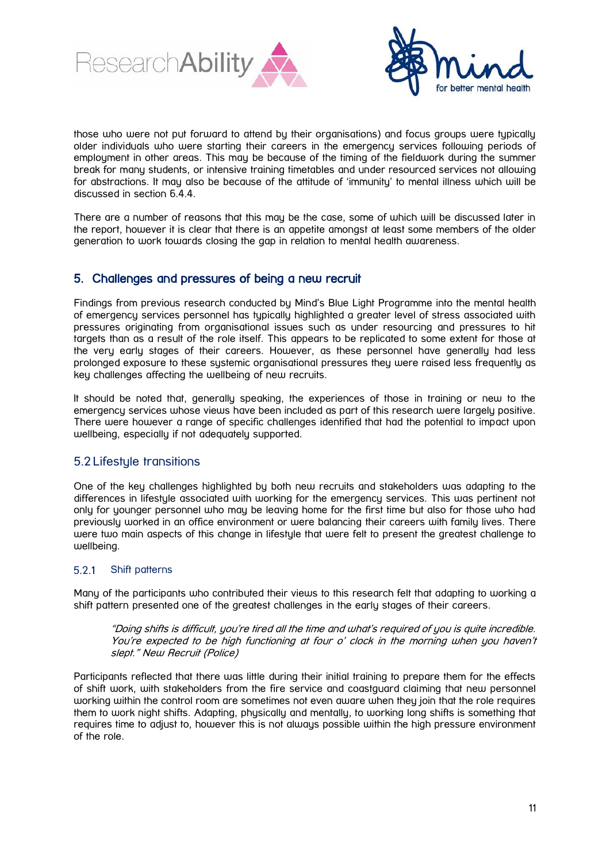



those who were not put forward to attend by their organisations) and focus groups were typically older individuals who were starting their careers in the emergency services following periods of employment in other areas. This may be because of the timing of the fieldwork during the summer break for many students, or intensive training timetables and under resourced services not allowing for abstractions. It may also be because of the attitude of 'immunity' to mental illness which will be discussed in section 6.4.4.

There are a number of reasons that this may be the case, some of which will be discussed later in the report, however it is clear that there is an appetite amongst at least some members of the older generation to work towards closing the gap in relation to mental health awareness.

# <span id="page-10-0"></span>5. Challenges and pressures of being a new recruit

Findings from previous research conducted by Mind's Blue Light Programme into the mental health of emergency services personnel has typically highlighted a greater level of stress associated with pressures originating from organisational issues such as under resourcing and pressures to hit targets than as a result of the role itself. This appears to be replicated to some extent for those at the very early stages of their careers. However, as these personnel have generally had less prolonged exposure to these systemic organisational pressures they were raised less frequently as key challenges affecting the wellbeing of new recruits.

It should be noted that, generally speaking, the experiences of those in training or new to the emergency services whose views have been included as part of this research were largely positive. There were however a range of specific challenges identified that had the potential to impact upon wellbeing, especially if not adequately supported.

# <span id="page-10-1"></span>5.2 Lifestyle transitions

One of the key challenges highlighted by both new recruits and stakeholders was adapting to the differences in lifestyle associated with working for the emergency services. This was pertinent not only for younger personnel who may be leaving home for the first time but also for those who had previously worked in an office environment or were balancing their careers with family lives. There were two main aspects of this change in lifestyle that were felt to present the greatest challenge to wellbeing.

#### <span id="page-10-2"></span> $5.2.1$ Shift patterns

Many of the participants who contributed their views to this research felt that adapting to working a shift pattern presented one of the greatest challenges in the early stages of their careers.

"Doing shifts is difficult, you're tired all the time and what's required of you is quite incredible. You're expected to be high functioning at four o' clock in the morning when you haven't slept." New Recruit (Police)

Participants reflected that there was little during their initial training to prepare them for the effects of shift work, with stakeholders from the fire service and coastguard claiming that new personnel working within the control room are sometimes not even aware when they join that the role requires them to work night shifts. Adapting, physically and mentally, to working long shifts is something that requires time to adjust to, however this is not always possible within the high pressure environment of the role.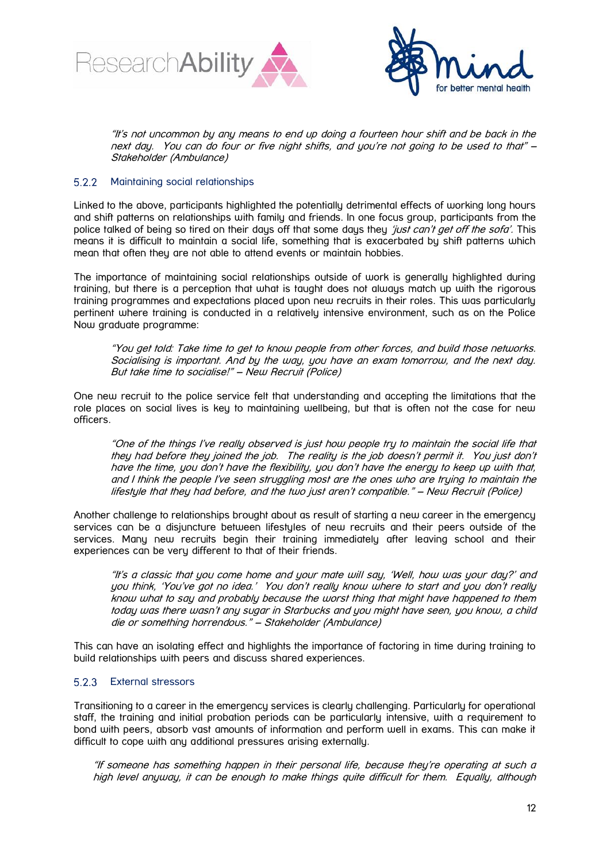



"It's not uncommon by any means to end up doing a fourteen hour shift and be back in the next day. You can do four or five night shifts, and you're not going to be used to that" – Stakeholder (Ambulance)

#### <span id="page-11-0"></span>Maintaining social relationships  $5.2.2$

Linked to the above, participants highlighted the potentially detrimental effects of working long hours and shift patterns on relationships with family and friends. In one focus group, participants from the police talked of being so tired on their days off that some days they 'just can't get off the sofa'. This means it is difficult to maintain a social life, something that is exacerbated by shift patterns which mean that often they are not able to attend events or maintain hobbies.

The importance of maintaining social relationships outside of work is generally highlighted during training, but there is a perception that what is taught does not always match up with the rigorous training programmes and expectations placed upon new recruits in their roles. This was particularly pertinent where training is conducted in a relatively intensive environment, such as on the Police Now graduate programme:

"You get told: Take time to get to know people from other forces, and build those networks. Socialising is important. And by the way, you have an exam tomorrow, and the next day. But take time to socialise!" – New Recruit (Police)

One new recruit to the police service felt that understanding and accepting the limitations that the role places on social lives is key to maintaining wellbeing, but that is often not the case for new officers.

"One of the things I've really observed is just how people try to maintain the social life that they had before they joined the job. The reality is the job doesn't permit it. You just don't have the time, you don't have the flexibility, you don't have the energy to keep up with that, and I think the people I've seen struggling most are the ones who are trying to maintain the lifestyle that they had before, and the two just aren't compatible." – New Recruit (Police)

Another challenge to relationships brought about as result of starting a new career in the emergency services can be a disjuncture between lifestyles of new recruits and their peers outside of the services. Many new recruits begin their training immediately after leaving school and their experiences can be very different to that of their friends.

"It's a classic that you come home and your mate will say, 'Well, how was your day?' and you think, 'You've got no idea.' You don't really know where to start and you don't really know what to say and probably because the worst thing that might have happened to them today was there wasn't any sugar in Starbucks and you might have seen, you know, a child die or something horrendous." – Stakeholder (Ambulance)

This can have an isolating effect and highlights the importance of factoring in time during training to build relationships with peers and discuss shared experiences.

### <span id="page-11-1"></span>5.2.3 External stressors

Transitioning to a career in the emergency services is clearly challenging. Particularly for operational staff, the training and initial probation periods can be particularly intensive, with a requirement to bond with peers, absorb vast amounts of information and perform well in exams. This can make it difficult to cope with any additional pressures arising externally.

"If someone has something happen in their personal life, because they're operating at such a high level anyway, it can be enough to make things quite difficult for them. Equally, although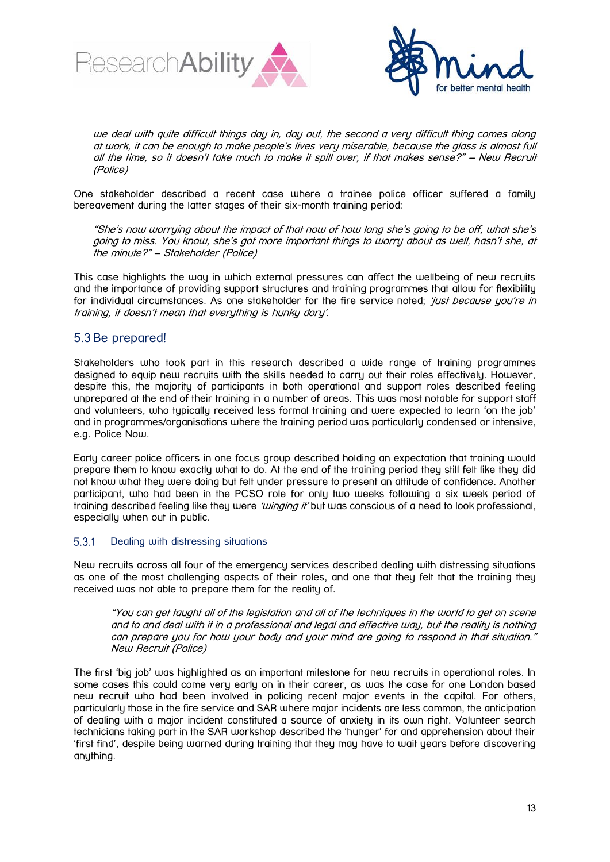



we deal with quite difficult things day in, day out, the second a very difficult thing comes along at work, it can be enough to make people's lives very miserable, because the glass is almost full all the time, so it doesn't take much to make it spill over, if that makes sense?" – New Recruit (Police)

One stakeholder described a recent case where a trainee police officer suffered a family bereavement during the latter stages of their six-month training period:

"She's now worrying about the impact of that now of how long she's going to be off, what she's going to miss. You know, she's got more important things to worry about as well, hasn't she, at the minute?" – Stakeholder (Police)

This case highlights the way in which external pressures can affect the wellbeing of new recruits and the importance of providing support structures and training programmes that allow for flexibility for individual circumstances. As one stakeholder for the fire service noted; 'just because you're in training, it doesn't mean that everything is hunky dory'.

# <span id="page-12-0"></span>5.3 Be prepared!

Stakeholders who took part in this research described a wide range of training programmes designed to equip new recruits with the skills needed to carry out their roles effectively. However, despite this, the majority of participants in both operational and support roles described feeling unprepared at the end of their training in a number of areas. This was most notable for support staff and volunteers, who typically received less formal training and were expected to learn 'on the job' and in programmes/organisations where the training period was particularly condensed or intensive, e.g. Police Now.

Early career police officers in one focus group described holding an expectation that training would prepare them to know exactly what to do. At the end of the training period they still felt like they did not know what they were doing but felt under pressure to present an attitude of confidence. Another participant, who had been in the PCSO role for only two weeks following a six week period of training described feeling like they were *'winging it'* but was conscious of a need to look professional, especially when out in public.

#### <span id="page-12-1"></span> $5.3.1$ Dealing with distressing situations

New recruits across all four of the emergency services described dealing with distressing situations as one of the most challenging aspects of their roles, and one that they felt that the training they received was not able to prepare them for the reality of.

"You can get taught all of the legislation and all of the techniques in the world to get on scene and to and deal with it in a professional and legal and effective way, but the reality is nothing can prepare you for how your body and your mind are going to respond in that situation." New Recruit (Police)

The first 'big job' was highlighted as an important milestone for new recruits in operational roles. In some cases this could come very early on in their career, as was the case for one London based new recruit who had been involved in policing recent major events in the capital. For others, particularly those in the fire service and SAR where major incidents are less common, the anticipation of dealing with a major incident constituted a source of anxiety in its own right. Volunteer search technicians taking part in the SAR workshop described the 'hunger' for and apprehension about their 'first find', despite being warned during training that they may have to wait years before discovering anything.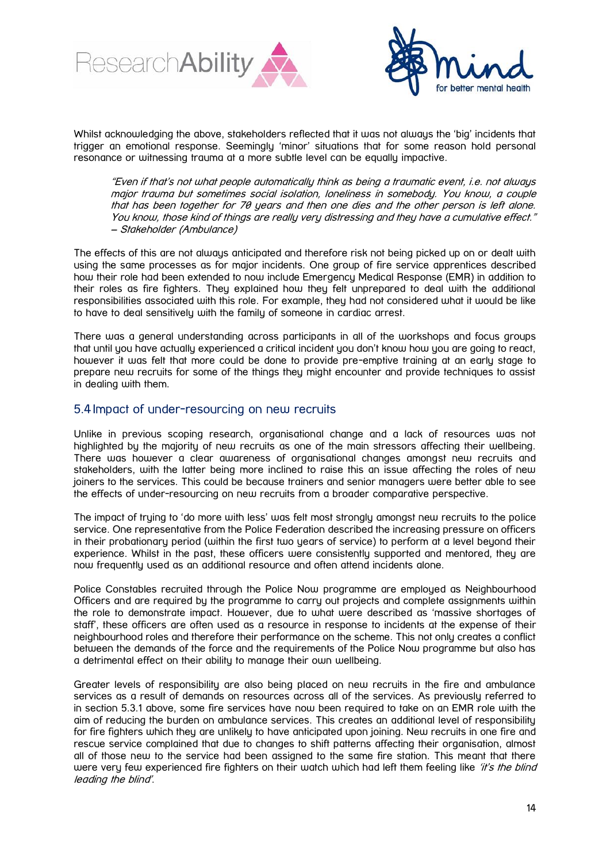



Whilst acknowledging the above, stakeholders reflected that it was not always the 'big' incidents that trigger an emotional response. Seemingly 'minor' situations that for some reason hold personal resonance or witnessing trauma at a more subtle level can be equally impactive.

"Even if that's not what people automatically think as being a traumatic event, i.e. not always major trauma but sometimes social isolation, loneliness in somebody. You know, a couple that has been together for 70 years and then one dies and the other person is left alone. You know, those kind of things are really very distressing and they have a cumulative effect." – Stakeholder (Ambulance)

The effects of this are not always anticipated and therefore risk not being picked up on or dealt with using the same processes as for major incidents. One group of fire service apprentices described how their role had been extended to now include Emergency Medical Response (EMR) in addition to their roles as fire fighters. They explained how they felt unprepared to deal with the additional responsibilities associated with this role. For example, they had not considered what it would be like to have to deal sensitively with the family of someone in cardiac arrest.

There was a general understanding across participants in all of the workshops and focus groups that until you have actually experienced a critical incident you don't know how you are going to react, however it was felt that more could be done to provide pre-emptive training at an early stage to prepare new recruits for some of the things they might encounter and provide techniques to assist in dealing with them.

# <span id="page-13-0"></span>5.4 Impact of under-resourcing on new recruits

Unlike in previous scoping research, organisational change and a lack of resources was not highlighted by the majority of new recruits as one of the main stressors affecting their wellbeing. There was however a clear awareness of organisational changes amongst new recruits and stakeholders, with the latter being more inclined to raise this an issue affecting the roles of new joiners to the services. This could be because trainers and senior managers were better able to see the effects of under-resourcing on new recruits from a broader comparative perspective.

The impact of trying to 'do more with less' was felt most strongly amongst new recruits to the police service. One representative from the Police Federation described the increasing pressure on officers in their probationary period (within the first two years of service) to perform at a level beyond their experience. Whilst in the past, these officers were consistently supported and mentored, they are now frequently used as an additional resource and often attend incidents alone.

Police Constables recruited through the Police Now programme are emploued as Neighbourhood Officers and are required by the programme to carry out projects and complete assignments within the role to demonstrate impact. However, due to what were described as 'massive shortages of staff', these officers are often used as a resource in response to incidents at the expense of their neighbourhood roles and therefore their performance on the scheme. This not only creates a conflict between the demands of the force and the requirements of the Police Now programme but also has a detrimental effect on their ability to manage their own wellbeing.

Greater levels of responsibility are also being placed on new recruits in the fire and ambulance services as a result of demands on resources across all of the services. As previously referred to in section 5.3.1 above, some fire services have now been required to take on an EMR role with the aim of reducing the burden on ambulance services. This creates an additional level of responsibility for fire fighters which they are unlikely to have anticipated upon joining. New recruits in one fire and rescue service complained that due to changes to shift patterns affecting their organisation, almost all of those new to the service had been assigned to the same fire station. This meant that there were very few experienced fire fighters on their watch which had left them feeling like 'it's the blind leading the blind'.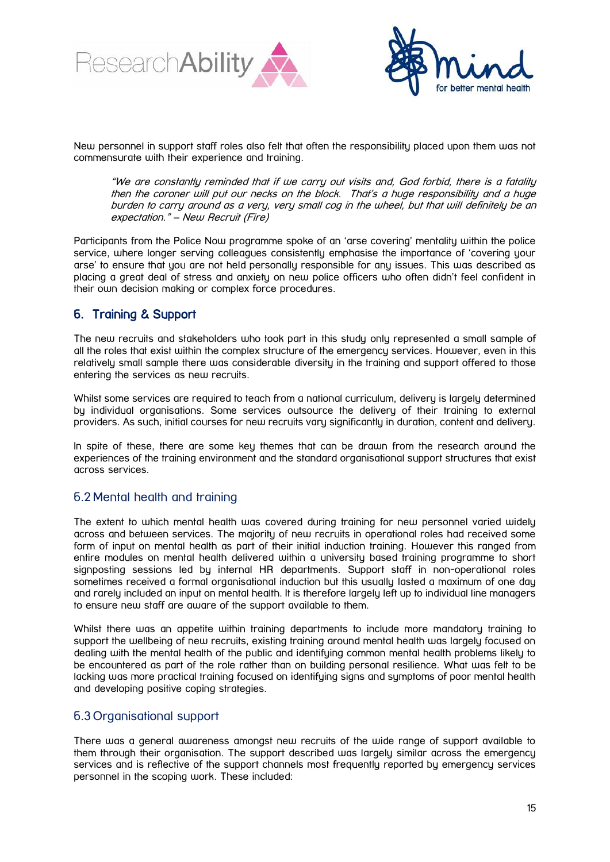



New personnel in support staff roles also felt that often the responsibility placed upon them was not commensurate with their experience and training.

"We are constantly reminded that if we carry out visits and, God forbid, there is a fatality then the coroner will put our necks on the block. That's a huge responsibility and a huge burden to carry around as a very, very small cog in the wheel, but that will definitely be an expectation." – New Recruit (Fire)

Participants from the Police Now programme spoke of an 'arse covering' mentality within the police service, where longer serving colleggues consistently emphasise the importance of 'covering your arse' to ensure that you are not held personally responsible for any issues. This was described as placing a great deal of stress and anxiety on new police officers who often didn't feel confident in their own decision making or complex force procedures.

# <span id="page-14-0"></span>6. Training & Support

The new recruits and stakeholders who took part in this study only represented a small sample of all the roles that exist within the complex structure of the emergency services. However, even in this relatively small sample there was considerable diversity in the training and support offered to those entering the services as new recruits.

Whilst some services are required to teach from a national curriculum, delivery is largely determined by individual organisations. Some services outsource the delivery of their training to external providers. As such, initial courses for new recruits vary significantly in duration, content and delivery.

In spite of these, there are some key themes that can be drawn from the research around the experiences of the training environment and the standard organisational support structures that exist across services.

# <span id="page-14-1"></span>6.2 Mental health and training

The extent to which mental health was covered during training for new personnel varied widely across and between services. The majority of new recruits in operational roles had received some form of input on mental health as part of their initial induction training. However this ranged from entire modules on mental health delivered within a university based training programme to short signposting sessions led by internal HR departments. Support staff in non-operational roles sometimes received a formal organisational induction but this usually lasted a maximum of one day and rarely included an input on mental health. It is therefore largely left up to individual line managers to ensure new staff are aware of the support available to them.

Whilst there was an appetite within training departments to include more mandatory training to support the wellbeing of new recruits, existing training around mental health was largely focused on dealing with the mental health of the public and identifying common mental health problems likely to be encountered as part of the role rather than on building personal resilience. What was felt to be lacking was more practical training focused on identifying signs and symptoms of poor mental health and developing positive coping strategies.

# <span id="page-14-2"></span>6.3 Organisational support

There was a general awareness amongst new recruits of the wide range of support available to them through their organisation. The support described was largely similar across the emergency services and is reflective of the support channels most frequently reported by emergency services personnel in the scoping work. These included: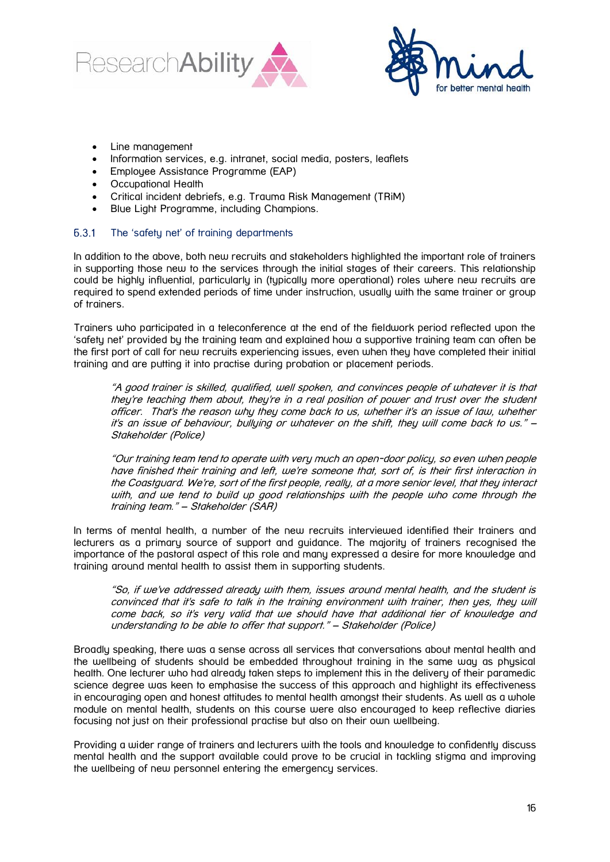



- Line management
- Information services, e.g. intranet, social media, posters, leaflets
- Employee Assistance Programme (EAP)
- Occupational Health
- Critical incident debriefs, e.g. Trauma Risk Management (TRiM)
- Blue Light Programme, including Champions.

#### <span id="page-15-0"></span> $6.3.1$ The 'safety net' of training departments

In addition to the above, both new recruits and stakeholders highlighted the important role of trainers in supporting those new to the services through the initial stages of their careers. This relationship could be highly influential, particularly in (typically more operational) roles where new recruits are required to spend extended periods of time under instruction, usually with the same trainer or group of trainers.

Trainers who participated in a teleconference at the end of the fieldwork period reflected upon the 'safety net' provided by the training team and explained how a supportive training team can often be the first port of call for new recruits experiencing issues, even when they have completed their initial training and are putting it into practise during probation or placement periods.

"A good trainer is skilled, qualified, well spoken, and convinces people of whatever it is that they're teaching them about, they're in a real position of power and trust over the student officer. That's the reason why they come back to us, whether it's an issue of law, whether it's an issue of behaviour, bullying or whatever on the shift, they will come back to us." – Stakeholder (Police)

"Our training team tend to operate with very much an open-door policy, so even when people have finished their training and left, we're someone that, sort of, is their first interaction in the Coastguard. We're, sort of the first people, really, at a more senior level, that they interact with, and we tend to build up good relationships with the people who come through the training team." – Stakeholder (SAR)

In terms of mental health, a number of the new recruits interviewed identified their trainers and lecturers as a primary source of support and guidance. The majority of trainers recognised the importance of the pastoral aspect of this role and many expressed a desire for more knowledge and training around mental health to assist them in supporting students.

"So, if we've addressed already with them, issues around mental health, and the student is convinced that it's safe to talk in the training environment with trainer, then yes, they will come back, so it's very valid that we should have that additional tier of knowledge and understanding to be able to offer that support." – Stakeholder (Police)

Broadly speaking, there was a sense across all services that conversations about mental health and the wellbeing of students should be embedded throughout training in the same way as physical health. One lecturer who had already taken steps to implement this in the delivery of their paramedic science degree was keen to emphasise the success of this approach and highlight its effectiveness in encouraging open and honest attitudes to mental health amongst their students. As well as a whole module on mental health, students on this course were also encouraged to keep reflective diaries focusing not just on their professional practise but also on their own wellbeing.

Providing a wider range of trainers and lecturers with the tools and knowledge to confidently discuss mental health and the support available could prove to be crucial in tackling stigma and improving the wellbeing of new personnel entering the emergency services.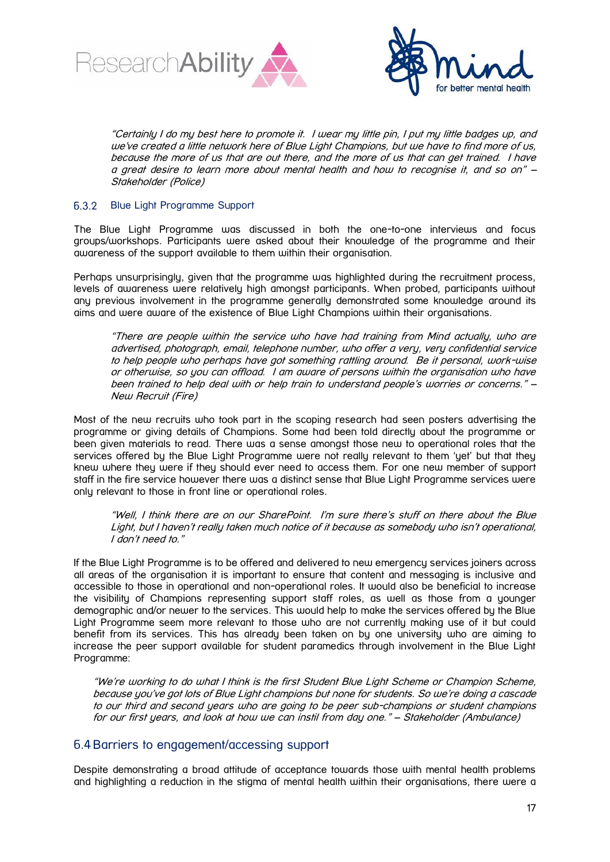



"Certainly I do my best here to promote it. I wear my little pin, I put my little badges up, and we've created a little network here of Blue Light Champions, but we have to find more of us, because the more of us that are out there, and the more of us that can get trained. I have a great desire to learn more about mental health and how to recognise it, and so on" – Stakeholder (Police)

#### <span id="page-16-0"></span>Blue Light Programme Support  $6.3.2$

The Blue Light Programme was discussed in both the one-to-one interviews and focus groups/workshops. Participants were asked about their knowledge of the programme and their awareness of the support available to them within their organisation.

Perhaps unsurprisingly, given that the programme was highlighted during the recruitment process, levels of awareness were relatively high amongst participants. When probed, participants without any previous involvement in the programme generally demonstrated some knowledge around its aims and were aware of the existence of Blue Light Champions within their organisations.

"There are people within the service who have had training from Mind actually, who are advertised, photograph, email, telephone number, who offer a very, very confidential service to help people who perhaps have got something rattling around. Be it personal, work-wise or otherwise, so you can offload. I am aware of persons within the organisation who have been trained to help deal with or help train to understand people's worries or concerns." – New Recruit (Fire)

Most of the new recruits who took part in the scoping research had seen posters advertising the programme or giving details of Champions. Some had been told directly about the programme or been given materials to read. There was a sense amongst those new to operational roles that the services offered by the Blue Light Programme were not really relevant to them 'yet' but that they knew where they were if they should ever need to access them. For one new member of support staff in the fire service however there was a distinct sense that Blue Light Programme services were only relevant to those in front line or operational roles.

"Well, I think there are on our SharePoint. I'm sure there's stuff on there about the Blue Light, but I haven't really taken much notice of it because as somebody who isn't operational, I don't need to."

If the Blue Light Programme is to be offered and delivered to new emergency services joiners across all areas of the organisation it is important to ensure that content and messaging is inclusive and accessible to those in operational and non-operational roles. It would also be beneficial to increase the visibility of Champions representing support staff roles, as well as those from a younger demographic and/or newer to the services. This would help to make the services offered by the Blue Light Programme seem more relevant to those who are not currently making use of it but could benefit from its services. This has already been taken on by one university who are aiming to increase the peer support available for student paramedics through involvement in the Blue Light Programme:

"We're working to do what I think is the first Student Blue Light Scheme or Champion Scheme, because you've got lots of Blue Light champions but none for students. So we're doing a cascade to our third and second years who are going to be peer sub-champions or student champions for our first years, and look at how we can instil from day one." – Stakeholder (Ambulance)

### <span id="page-16-1"></span>6.4Barriers to engagement/accessing support

Despite demonstrating a broad attitude of acceptance towards those with mental health problems and highlighting a reduction in the stigma of mental health within their organisations, there were a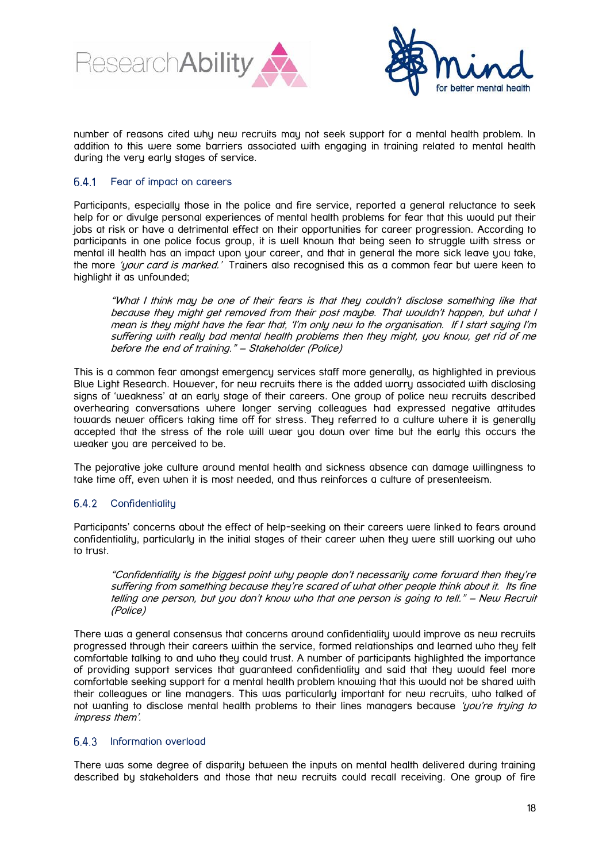



number of reasons cited why new recruits may not seek support for a mental health problem. In addition to this were some barriers associated with engaging in training related to mental health during the very early stages of service.

#### <span id="page-17-0"></span>Fear of impact on careers  $6.4.1$

Participants, especially those in the police and fire service, reported a general reluctance to seek help for or divulge personal experiences of mental health problems for fear that this would put their jobs at risk or have a detrimental effect on their opportunities for career progression. According to participants in one police focus group, it is well known that being seen to struggle with stress or mental ill health has an impact upon your career, and that in general the more sick leave you take, the more 'your card is marked.' Trainers also recognised this as a common fear but were keen to highlight it as unfounded;

"What I think may be one of their fears is that they couldn't disclose something like that because they might get removed from their post maybe. That wouldn't happen, but what I mean is they might have the fear that, 'I'm only new to the organisation. If I start saying I'm suffering with really bad mental health problems then they might, you know, get rid of me before the end of training." – Stakeholder (Police)

This is a common fear amongst emergency services staff more generally, as highlighted in previous Blue Light Research. However, for new recruits there is the added worry associated with disclosing signs of 'weakness' at an early stage of their careers. One group of police new recruits described overhearing conversations where longer serving colleagues had expressed negative attitudes towards newer officers taking time off for stress. They referred to a culture where it is generally accepted that the stress of the role will wear you down over time but the early this occurs the weaker you are perceived to be.

The pejorative joke culture around mental health and sickness absence can damage willingness to take time off, even when it is most needed, and thus reinforces a culture of presenteeism.

#### <span id="page-17-1"></span>6.4.2 **Confidentiality**

Participants' concerns about the effect of help-seeking on their careers were linked to fears around confidentiality, particularly in the initial stages of their career when they were still working out who to trust.

"Confidentiality is the biggest point why people don't necessarily come forward then they're suffering from something because they're scared of what other people think about it. Its fine telling one person, but you don't know who that one person is going to tell." – New Recruit (Police)

There was a general consensus that concerns around confidentiality would improve as new recruits progressed through their careers within the service, formed relationships and learned who they felt comfortable talking to and who they could trust. A number of participants highlighted the importance of providing support services that guaranteed confidentiality and said that they would feel more comfortable seeking support for a mental health problem knowing that this would not be shared with their colleagues or line managers. This was particularly important for new recruits, who talked of not wanting to disclose mental health problems to their lines managers because 'you're truing to impress them'.

#### <span id="page-17-2"></span> $6.4.3$ Information overload

There was some degree of disparity between the inputs on mental health delivered during training described by stakeholders and those that new recruits could recall receiving. One group of fire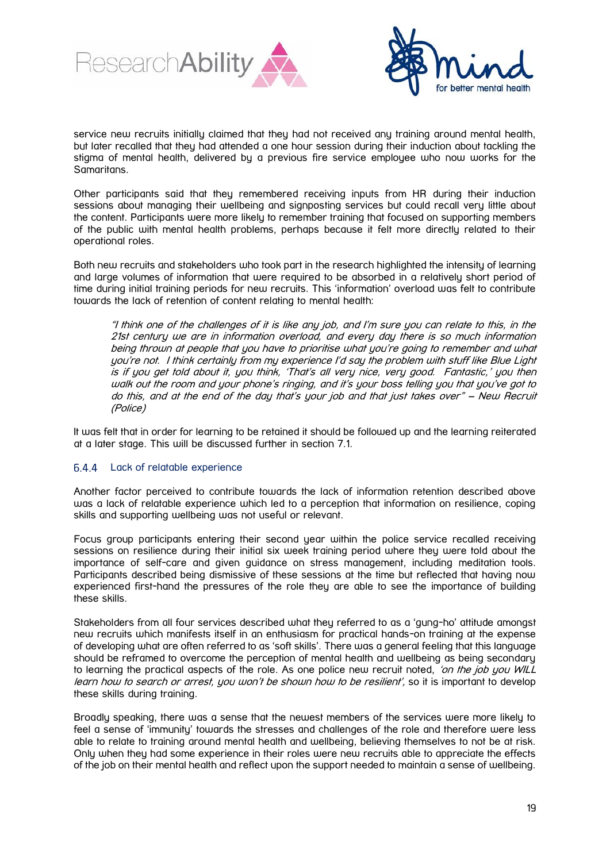



service new recruits initially claimed that they had not received any training around mental health, but later recalled that they had attended a one hour session during their induction about tackling the stigma of mental health, delivered by a previous fire service employee who now works for the Samaritans.

Other participants said that they remembered receiving inputs from HR during their induction sessions about managing their wellbeing and signposting services but could recall very little about the content. Participants were more likely to remember training that focused on supporting members of the public with mental health problems, perhaps because it felt more directly related to their operational roles.

Both new recruits and stakeholders who took part in the research highlighted the intensity of learning and large volumes of information that were required to be absorbed in a relatively short period of time during initial training periods for new recruits. This 'information' overload was felt to contribute towards the lack of retention of content relating to mental health:

"I think one of the challenges of it is like any job, and I'm sure you can relate to this, in the 21st century we are in information overload, and every day there is so much information being thrown at people that you have to prioritise what you're going to remember and what you're not. I think certainly from my experience I'd say the problem with stuff like Blue Light is if you get told about it, you think, 'That's all very nice, very good. Fantastic,' you then walk out the room and your phone's ringing, and it's your boss telling you that you've got to do this, and at the end of the day that's your job and that just takes over" – New Recruit (Police)

It was felt that in order for learning to be retained it should be followed up and the learning reiterated at a later stage. This will be discussed further in section 7.1.

#### <span id="page-18-0"></span> $6.4.4$ Lack of relatable experience

Another factor perceived to contribute towards the lack of information retention described above was a lack of relatable experience which led to a perception that information on resilience, coping skills and supporting wellbeing was not useful or relevant.

Focus group participants entering their second year within the police service recalled receiving sessions on resilience during their initial six week training period where they were told about the importance of self-care and given guidance on stress management, including meditation tools. Participants described being dismissive of these sessions at the time but reflected that having now experienced first-hand the pressures of the role they are able to see the importance of building these skills.

Stakeholders from all four services described what they referred to as a 'gung-ho' attitude amongst new recruits which manifests itself in an enthusiasm for practical hands-on training at the expense of developing what are often referred to as 'soft skills'. There was a general feeling that this language should be reframed to overcome the perception of mental health and wellbeing as being secondary to learning the practical aspects of the role. As one police new recruit noted, 'on the job you WILL learn how to search or arrest, you won't be shown how to be resilient', so it is important to develop these skills during training.

Broadly speaking, there was a sense that the newest members of the services were more likely to feel a sense of 'immunity' towards the stresses and challenges of the role and therefore were less able to relate to training around mental health and wellbeing, believing themselves to not be at risk. Only when they had some experience in their roles were new recruits able to appreciate the effects of the job on their mental health and reflect upon the support needed to maintain a sense of wellbeing.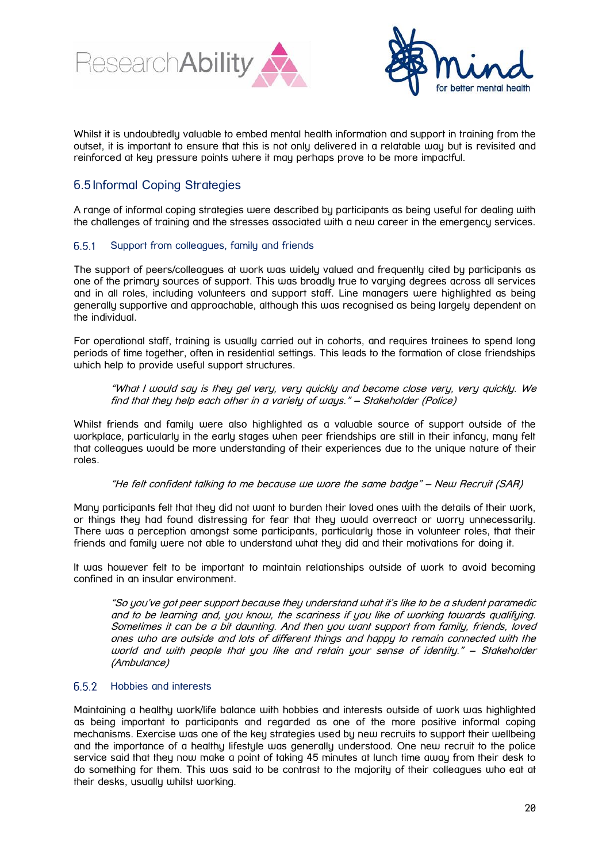



Whilst it is undoubtedly valuable to embed mental health information and support in training from the outset, it is important to ensure that this is not only delivered in a relatable way but is revisited and reinforced at key pressure points where it may perhaps prove to be more impactful.

# <span id="page-19-0"></span>6.5 Informal Coping Strategies

A range of informal coping strategies were described by participants as being useful for dealing with the challenges of training and the stresses associated with a new career in the emergency services.

#### <span id="page-19-1"></span> $6.5.1$ Support from colleagues, family and friends

The support of peers/colleagues at work was widely valued and frequently cited by participants as one of the primary sources of support. This was broadly true to varying degrees across all services and in all roles, including volunteers and support staff. Line managers were highlighted as being generally supportive and approachable, although this was recognised as being largely dependent on the individual.

For operational staff, training is usually carried out in cohorts, and requires trainees to spend long periods of time together, often in residential settings. This leads to the formation of close friendships which help to provide useful support structures.

"What I would say is they gel very, very quickly and become close very, very quickly. We find that they help each other in a variety of ways." – Stakeholder (Police)

Whilst friends and family were also highlighted as a valuable source of support outside of the workplace, particularly in the early stages when peer friendships are still in their infancy, many felt that colleagues would be more understanding of their experiences due to the unique nature of their roles.

### "He felt confident talking to me because we wore the same badge" – New Recruit (SAR)

Many participants felt that they did not want to burden their loved ones with the details of their work, or things they had found distressing for fear that they would overreact or worry unnecessarily. There was a perception amongst some participants, particularly those in volunteer roles, that their friends and family were not able to understand what they did and their motivations for doing it.

It was however felt to be important to maintain relationships outside of work to avoid becoming confined in an insular environment.

"So you've got peer support because they understand what it's like to be a student paramedic and to be learning and, you know, the scariness if you like of working towards qualifying. Sometimes it can be a bit daunting. And then you want support from family, friends, loved ones who are outside and lots of different things and happy to remain connected with the world and with people that you like and retain your sense of identity." – Stakeholder (Ambulance)

#### <span id="page-19-2"></span> $6.5.2$ Hobbies and interests

Maintaining a healthy work/life balance with hobbies and interests outside of work was highlighted as being important to participants and regarded as one of the more positive informal coping mechanisms. Exercise was one of the key strategies used by new recruits to support their wellbeing and the importance of a healthy lifestyle was generally understood. One new recruit to the police service said that they now make a point of taking 45 minutes at lunch time away from their desk to do something for them. This was said to be contrast to the majority of their colleagues who eat at their desks, usually whilst working.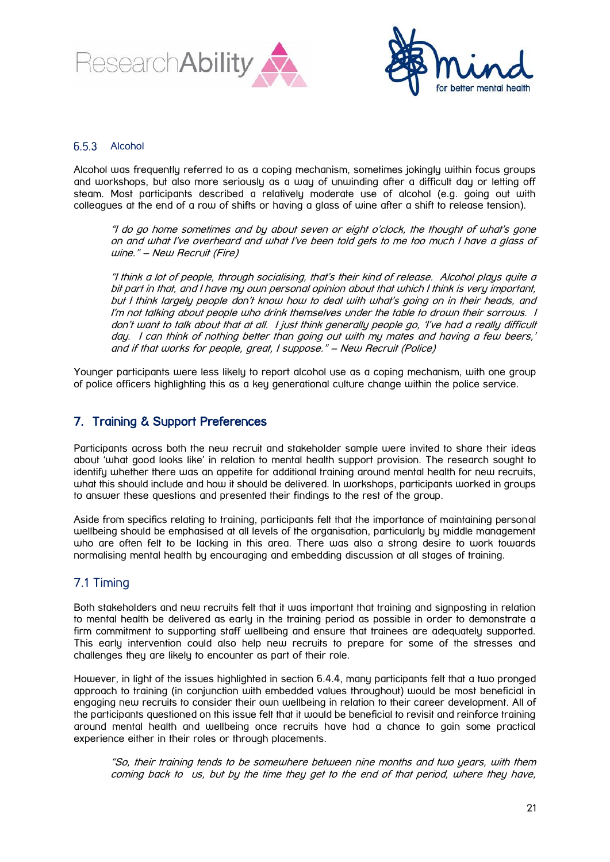



### <span id="page-20-0"></span>6.5.3 Alcohol

Alcohol was frequently referred to as a coping mechanism, sometimes jokingly within focus groups and workshops, but also more seriously as a way of unwinding after a difficult day or letting off steam. Most participants described a relatively moderate use of alcohol (e.g. going out with colleagues at the end of a row of shifts or having a glass of wine after a shift to release tension).

"I do go home sometimes and by about seven or eight o'clock, the thought of what's gone on and what I've overheard and what I've been told gets to me too much I have a glass of wine." – New Recruit (Fire)

"I think a lot of people, through socialising, that's their kind of release. Alcohol plays quite a bit part in that, and I have my own personal opinion about that which I think is very important, but I think largely people don't know how to deal with what's going on in their heads, and I'm not talking about people who drink themselves under the table to drown their sorrows. I don't want to talk about that at all. I just think generally people go, 'I've had a really difficult day. I can think of nothing better than going out with my mates and having a few beers,' and if that works for people, great, I suppose." – New Recruit (Police)

Younger participants were less likely to report alcohol use as a coping mechanism, with one group of police officers highlighting this as a key generational culture change within the police service.

# <span id="page-20-1"></span>7. Training & Support Preferences

Participants across both the new recruit and stakeholder sample were invited to share their ideas about 'what good looks like' in relation to mental health support provision. The research sought to identify whether there was an appetite for additional training around mental health for new recruits, what this should include and how it should be delivered. In workshops, participants worked in groups to answer these questions and presented their findings to the rest of the group.

Aside from specifics relating to training, participants felt that the importance of maintaining personal wellbeing should be emphasised at all levels of the organisation, particularly by middle management who are often felt to be lacking in this area. There was also a strong desire to work towards normalising mental health by encouraging and embedding discussion at all stages of training.

# <span id="page-20-2"></span>7.1 Timing

Both stakeholders and new recruits felt that it was important that training and signposting in relation to mental health be delivered as early in the training period as possible in order to demonstrate a firm commitment to supporting staff wellbeing and ensure that trainees are adequately supported. This early intervention could also help new recruits to prepare for some of the stresses and challenges they are likely to encounter as part of their role.

However, in light of the issues highlighted in section 6.4.4, many participants felt that a two pronged approach to training (in conjunction with embedded values throughout) would be most beneficial in engaging new recruits to consider their own wellbeing in relation to their career development. All of the participants questioned on this issue felt that it would be beneficial to revisit and reinforce training around mental health and wellbeing once recruits have had a chance to gain some practical experience either in their roles or through placements.

"So, their training tends to be somewhere between nine months and two years, with them coming back to us, but by the time they get to the end of that period, where they have,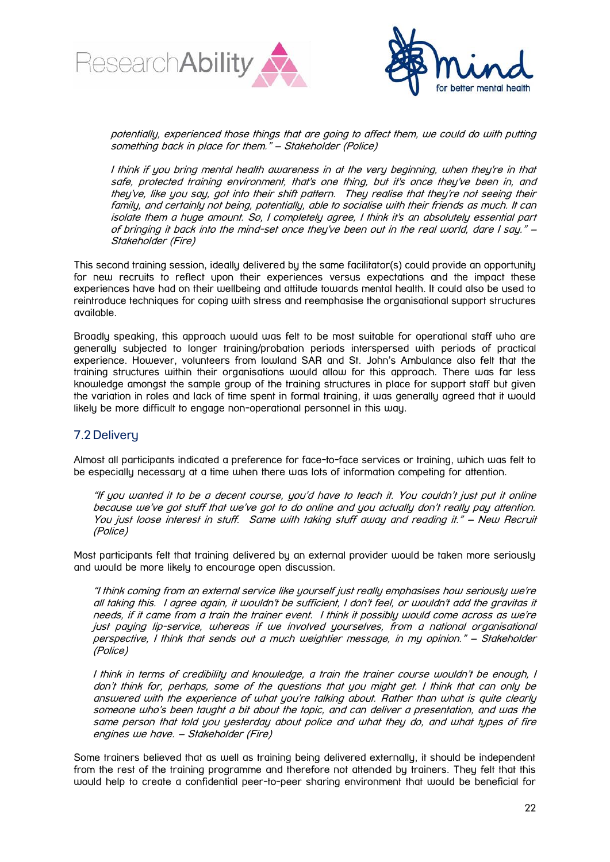



potentially, experienced those things that are going to affect them, we could do with putting something back in place for them." – Stakeholder (Police)

I think if you bring mental health awareness in at the very beginning, when they're in that safe, protected training environment, that's one thing, but it's once theu've been in, and they've, like you say, got into their shift pattern. They realise that they're not seeing their family, and certainly not being, potentially, able to socialise with their friends as much. It can isolate them a huge amount. So, I completely agree, I think it's an absolutely essential part of bringing it back into the mind-set once they've been out in the real world, dare I say." – Stakeholder (Fire)

This second training session, ideally delivered by the same facilitator(s) could provide an opportunity for new recruits to reflect upon their experiences versus expectations and the impact these experiences have had on their wellbeing and attitude towards mental health. It could also be used to reintroduce techniques for coping with stress and reemphasise the organisational support structures available.

Broadly speaking, this approach would was felt to be most suitable for operational staff who are generally subjected to longer training/probation periods interspersed with periods of practical experience. However, volunteers from lowland SAR and St. John's Ambulance also felt that the training structures within their organisations would allow for this approach. There was far less knowledge amongst the sample group of the training structures in place for support staff but given the variation in roles and lack of time spent in formal training, it was generally agreed that it would likely be more difficult to engage non-operational personnel in this way.

# <span id="page-21-0"></span>7.2 Delivery

Almost all participants indicated a preference for face-to-face services or training, which was felt to be especially necessary at a time when there was lots of information competing for attention.

"If you wanted it to be a decent course, you'd have to teach it. You couldn't just put it online because we've got stuff that we've got to do online and you actually don't really pay attention. You just loose interest in stuff. Same with taking stuff away and reading it." – New Recruit (Police)

Most participants felt that training delivered by an external provider would be taken more seriously and would be more likely to encourage open discussion.

"I think coming from an external service like yourself just really emphasises how seriously we're all taking this. I agree again, it wouldn't be sufficient, I don't feel, or wouldn't add the gravitas it needs, if it came from a train the trainer event. I think it possibly would come across as we're just paying lip-service, whereas if we involved yourselves, from a national organisational perspective, I think that sends out a much weightier message, in my opinion." – Stakeholder (Police)

I think in terms of credibility and knowledge, a train the trainer course wouldn't be enough, I don't think for, perhaps, some of the questions that you might get. I think that can only be answered with the experience of what you're talking about. Rather than what is quite clearly someone who's been taught a bit about the topic, and can deliver a presentation, and was the same person that told you yesterday about police and what they do, and what types of fire engines we have. – Stakeholder (Fire)

Some trainers believed that as well as training being delivered externally, it should be independent from the rest of the training programme and therefore not attended by trainers. They felt that this would help to create a confidential peer-to-peer sharing environment that would be beneficial for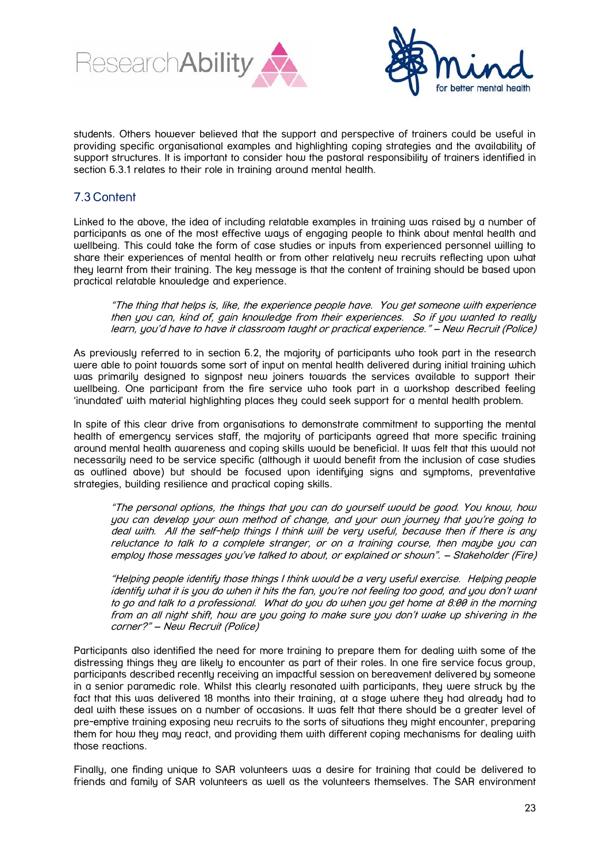



students. Others however believed that the support and perspective of trainers could be useful in providing specific organisational examples and highlighting coping strategies and the availability of support structures. It is important to consider how the pastoral responsibility of trainers identified in section 6.3.1 relates to their role in training around mental health.

# <span id="page-22-0"></span>7.3 Content

Linked to the above, the idea of including relatable examples in training was raised by a number of participants as one of the most effective ways of engaging people to think about mental health and wellbeing. This could take the form of case studies or inputs from experienced personnel willing to share their experiences of mental health or from other relatively new recruits reflecting upon what they learnt from their training. The key message is that the content of training should be based upon practical relatable knowledge and experience.

"The thing that helps is, like, the experience people have. You get someone with experience then you can, kind of, gain knowledge from their experiences. So if you wanted to really learn, you'd have to have it classroom taught or practical experience." – New Recruit (Police)

As previously referred to in section 6.2, the majority of participants who took part in the research were able to point towards some sort of input on mental health delivered during initial training which was primarily designed to signpost new joiners towards the services available to support their wellbeing. One participant from the fire service who took part in a workshop described feeling 'inundated' with material highlighting places they could seek support for a mental health problem.

In spite of this clear drive from organisations to demonstrate commitment to supporting the mental health of emergency services staff, the majority of participants agreed that more specific training around mental health awareness and coping skills would be beneficial. It was felt that this would not necessarily need to be service specific (although it would benefit from the inclusion of case studies as outlined above) but should be focused upon identifying signs and symptoms, preventative strategies, building resilience and practical coping skills.

"The personal options, the things that you can do yourself would be good. You know, how you can develop your own method of change, and your own journey that you're going to deal with. All the self-help things I think will be very useful, because then if there is any reluctance to talk to a complete stranger, or on a training course, then maybe you can employ those messages you've talked to about, or explained or shown". – Stakeholder (Fire)

"Helping people identify those things I think would be a very useful exercise. Helping people identify what it is you do when it hits the fan, you're not feeling too good, and you don't want to go and talk to a professional. What do you do when you get home at 8:00 in the morning from an all night shift, how are you going to make sure you don't wake up shivering in the corner?" – New Recruit (Police)

Participants also identified the need for more training to prepare them for dealing with some of the distressing things they are likely to encounter as part of their roles. In one fire service focus group, participants described recently receiving an impactful session on bereavement delivered by someone in a senior paramedic role. Whilst this clearly resonated with participants, they were struck by the fact that this was delivered 18 months into their training, at a stage where they had already had to deal with these issues on a number of occasions. It was felt that there should be a greater level of pre-emptive training exposing new recruits to the sorts of situations they might encounter, preparing them for how they may react, and providing them with different coping mechanisms for dealing with those reactions.

Finally, one finding unique to SAR volunteers was a desire for training that could be delivered to friends and family of SAR volunteers as well as the volunteers themselves. The SAR environment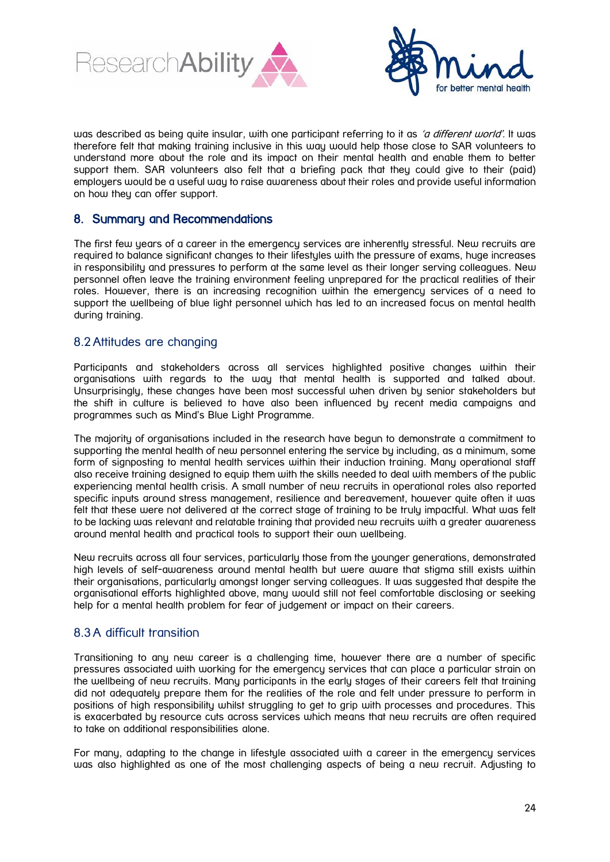



was described as being quite insular, with one participant referring to it as 'a different world'. It was therefore felt that making training inclusive in this way would help those close to SAR volunteers to understand more about the role and its impact on their mental health and enable them to better support them. SAR volunteers also felt that a briefing pack that they could give to their (paid) employers would be a useful way to raise awareness about their roles and provide useful information on how they can offer support.

# <span id="page-23-0"></span>8. Summary and Recommendations

The first few years of a career in the emergency services are inherently stressful. New recruits are required to balance significant changes to their lifestyles with the pressure of exams, huge increases in responsibility and pressures to perform at the same level as their longer serving colleggues. New personnel often leave the training environment feeling unprepared for the practical realities of their roles. However, there is an increasing recognition within the emergency services of a need to support the wellbeing of blue light personnel which has led to an increased focus on mental health during training.

# <span id="page-23-1"></span>8.2 Attitudes are changing

Participants and stakeholders across all services highlighted positive changes within their organisations with regards to the way that mental health is supported and talked about. Unsurprisingly, these changes have been most successful when driven by senior stakeholders but the shift in culture is believed to have also been influenced by recent media campaigns and programmes such as Mind's Blue Light Programme.

The majority of organisations included in the research have begun to demonstrate a commitment to supporting the mental health of new personnel entering the service by including, as a minimum, some form of signposting to mental health services within their induction training. Many operational staff also receive training designed to equip them with the skills needed to deal with members of the public experiencing mental health crisis. A small number of new recruits in operational roles also reported specific inputs around stress management, resilience and bereavement, however quite often it was felt that these were not delivered at the correct stage of training to be truly impactful. What was felt to be lacking was relevant and relatable training that provided new recruits with a greater awareness around mental health and practical tools to support their own wellbeing.

New recruits across all four services, particularly those from the younger generations, demonstrated high levels of self-awareness around mental health but were aware that stigma still exists within their organisations, particularly amongst longer serving colleagues. It was suggested that despite the organisational efforts highlighted above, many would still not feel comfortable disclosing or seeking help for a mental health problem for fear of judgement or impact on their careers.

# <span id="page-23-2"></span>8.3 A difficult transition

Transitioning to any new career is a challenging time, however there are a number of specific pressures associated with working for the emergency services that can place a particular strain on the wellbeing of new recruits. Many participants in the early stages of their careers felt that training did not adequately prepare them for the realities of the role and felt under pressure to perform in positions of high responsibility whilst struggling to get to grip with processes and procedures. This is exacerbated by resource cuts across services which means that new recruits are often required to take on additional responsibilities alone.

For many, adapting to the change in lifestyle associated with a career in the emergency services was also highlighted as one of the most challenging aspects of being a new recruit. Adjusting to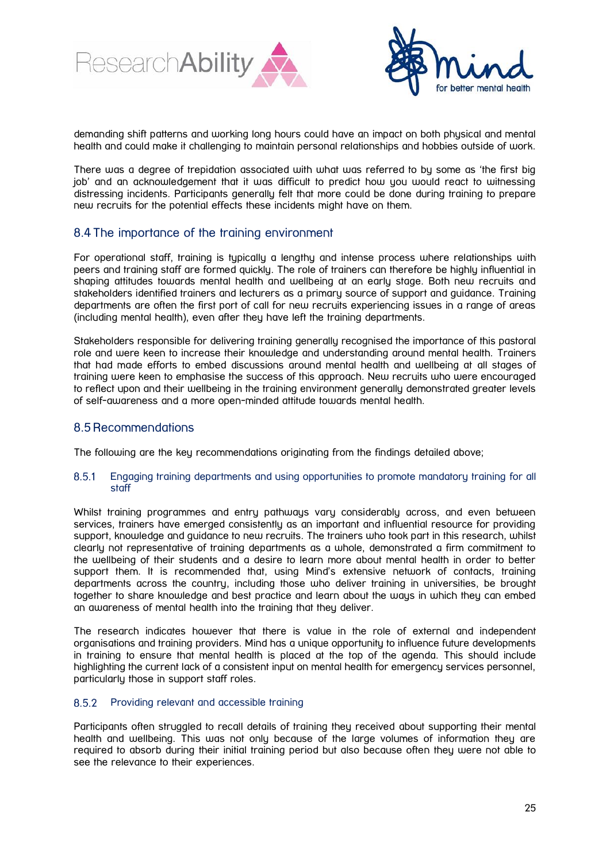



demanding shift patterns and working long hours could have an impact on both physical and mental health and could make it challenging to maintain personal relationships and hobbies outside of work.

There was a degree of trepidation associated with what was referred to by some as 'the first big job' and an acknowledgement that it was difficult to predict how you would react to witnessing distressing incidents. Participants generally felt that more could be done during training to prepare new recruits for the potential effects these incidents might have on them.

# <span id="page-24-0"></span>8.4The importance of the training environment

For operational staff, training is typically a lengthy and intense process where relationships with peers and training staff are formed quickly. The role of trainers can therefore be highly influential in shaping attitudes towards mental health and wellbeing at an early stage. Both new recruits and stakeholders identified trainers and lecturers as a primary source of support and guidance. Training departments are often the first port of call for new recruits experiencing issues in a range of areas (including mental health), even after they have left the training departments.

Stakeholders responsible for delivering training generally recognised the importance of this pastoral role and were keen to increase their knowledge and understanding around mental health. Trainers that had made efforts to embed discussions around mental health and wellbeing at all stages of training were keen to emphasise the success of this approach. New recruits who were encouraged to reflect upon and their wellbeing in the training environment generally demonstrated greater levels of self-awareness and a more open-minded attitude towards mental health.

### <span id="page-24-1"></span>8.5 Recommendations

The following are the key recommendations originating from the findings detailed above;

#### <span id="page-24-2"></span>8.5.1 Engaging training departments and using opportunities to promote mandatory training for all staff

Whilst training programmes and entry pathways vary considerably across, and even between services, trainers have emerged consistently as an important and influential resource for providing support, knowledge and guidance to new recruits. The trainers who took part in this research, whilst clearly not representative of training departments as a whole, demonstrated a firm commitment to the wellbeing of their students and a desire to learn more about mental health in order to better support them. It is recommended that, using Mind's extensive network of contacts, training departments across the country, including those who deliver training in universities, be brought together to share knowledge and best practice and learn about the ways in which they can embed an awareness of mental health into the training that they deliver.

The research indicates however that there is value in the role of external and independent organisations and training providers. Mind has a unique opportunity to influence future developments in training to ensure that mental health is placed at the top of the agenda. This should include highlighting the current lack of a consistent input on mental health for emergency services personnel, particularly those in support staff roles.

#### <span id="page-24-3"></span>8.5.2 Providing relevant and accessible training

Participants often struggled to recall details of training they received about supporting their mental health and wellbeing. This was not only because of the large volumes of information they are required to absorb during their initial training period but also because often they were not able to see the relevance to their experiences.